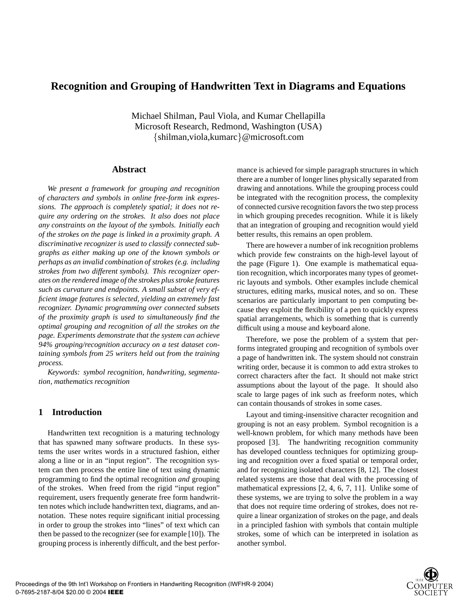# **Recognition and Grouping of Handwritten Text in Diagrams and Equations**

Michael Shilman, Paul Viola, and Kumar Chellapilla Microsoft Research, Redmond, Washington (USA) {shilman,viola,kumarc}@microsoft.com

### **Abstract**

*We present a framework for grouping and recognition of characters and symbols in online free-form ink expressions. The approach is completely spatial; it does not require any ordering on the strokes. It also does not place any constraints on the layout of the symbols. Initially each of the strokes on the page is linked in a proximity graph. A discriminative recognizer is used to classify connected subgraphs as either making up one of the known symbols or perhaps as an invalid combination of strokes (e.g. including strokes from two different symbols). This recognizer operates on the rendered image of the strokes plus stroke features such as curvature and endpoints. A small subset of very efficient image features is selected, yielding an extremely fast recognizer. Dynamic programming over connected subsets of the proximity graph is used to simultaneously find the optimal grouping and recognition of all the strokes on the page. Experiments demonstrate that the system can achieve 94% grouping/recognition accuracy on a test dataset containing symbols from 25 writers held out from the training process.*

*Keywords: symbol recognition, handwriting, segmentation, mathematics recognition*

# **1 Introduction**

Handwritten text recognition is a maturing technology that has spawned many software products. In these systems the user writes words in a structured fashion, either along a line or in an "input region". The recognition system can then process the entire line of text using dynamic programming to find the optimal recognition *and* grouping of the strokes. When freed from the rigid "input region" requirement, users frequently generate free form handwritten notes which include handwritten text, diagrams, and annotation. These notes require significant initial processing in order to group the strokes into "lines" of text which can then be passed to the recognizer (see for example [10]). The grouping process is inherently difficult, and the best performance is achieved for simple paragraph structures in which there are a number of longer lines physically separated from drawing and annotations. While the grouping process could be integrated with the recognition process, the complexity of connected cursive recognition favors the two step process in which grouping precedes recognition. While it is likely that an integration of grouping and recognition would yield better results, this remains an open problem.

There are however a number of ink recognition problems which provide few constraints on the high-level layout of the page (Figure 1). One example is mathematical equation recognition, which incorporates many types of geometric layouts and symbols. Other examples include chemical structures, editing marks, musical notes, and so on. These scenarios are particularly important to pen computing because they exploit the flexibility of a pen to quickly express spatial arrangements, which is something that is currently difficult using a mouse and keyboard alone.

Therefore, we pose the problem of a system that performs integrated grouping and recognition of symbols over a page of handwritten ink. The system should not constrain writing order, because it is common to add extra strokes to correct characters after the fact. It should not make strict assumptions about the layout of the page. It should also scale to large pages of ink such as freeform notes, which can contain thousands of strokes in some cases.

Layout and timing-insensitive character recognition and grouping is not an easy problem. Symbol recognition is a well-known problem, for which many methods have been proposed [3]. The handwriting recognition community has developed countless techniques for optimizing grouping and recognition over a fixed spatial or temporal order, and for recognizing isolated characters [8, 12]. The closest related systems are those that deal with the processing of mathematical expressions [2, 4, 6, 7, 11]. Unlike some of these systems, we are trying to solve the problem in a way that does not require time ordering of strokes, does not require a linear organization of strokes on the page, and deals in a principled fashion with symbols that contain multiple strokes, some of which can be interpreted in isolation as another symbol.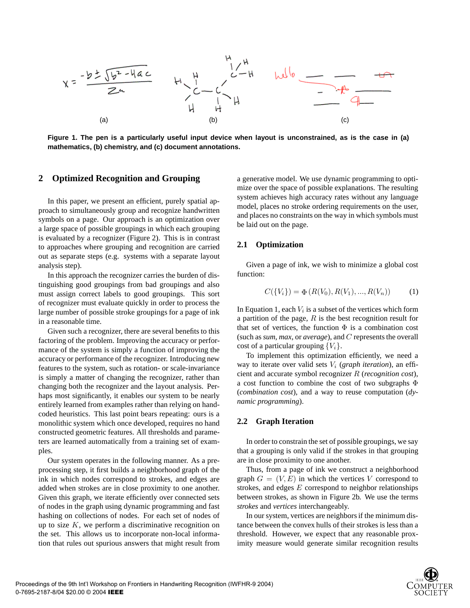

**Figure 1. The pen is a particularly useful input device when layout is unconstrained, as is the case in (a) mathematics, (b) chemistry, and (c) document annotations.**

### **2 Optimized Recognition and Grouping**

In this paper, we present an efficient, purely spatial approach to simultaneously group and recognize handwritten symbols on a page. Our approach is an optimization over a large space of possible groupings in which each grouping is evaluated by a recognizer (Figure 2). This is in contrast to approaches where grouping and recognition are carried out as separate steps (e.g. systems with a separate layout analysis step).

In this approach the recognizer carries the burden of distinguishing good groupings from bad groupings and also must assign correct labels to good groupings. This sort of recognizer must evaluate quickly in order to process the large number of possible stroke groupings for a page of ink in a reasonable time.

Given such a recognizer, there are several benefits to this factoring of the problem. Improving the accuracy or performance of the system is simply a function of improving the accuracy or performance of the recognizer. Introducing new features to the system, such as rotation- or scale-invariance is simply a matter of changing the recognizer, rather than changing both the recognizer and the layout analysis. Perhaps most significantly, it enables our system to be nearly entirely learned from examples rather than relying on handcoded heuristics. This last point bears repeating: ours is a monolithic system which once developed, requires no hand constructed geometric features. All thresholds and parameters are learned automatically from a training set of examples.

Our system operates in the following manner. As a preprocessing step, it first builds a neighborhood graph of the ink in which nodes correspond to strokes, and edges are added when strokes are in close proximity to one another. Given this graph, we iterate efficiently over connected sets of nodes in the graph using dynamic programming and fast hashing on collections of nodes. For each set of nodes of up to size  $K$ , we perform a discriminative recognition on the set. This allows us to incorporate non-local information that rules out spurious answers that might result from a generative model. We use dynamic programming to optimize over the space of possible explanations. The resulting system achieves high accuracy rates without any language model, places no stroke ordering requirements on the user, and places no constraints on the way in which symbols must be laid out on the page.

#### **2.1 Optimization**

Given a page of ink, we wish to minimize a global cost function:

$$
C({Vi}) = \Phi(R(V0), R(V1), ..., R(Vn))
$$
 (1)

In Equation 1, each  $V_i$  is a subset of the vertices which form a partition of the page,  $R$  is the best recognition result for that set of vertices, the function  $\Phi$  is a combination cost (such as *sum*, *max*, or *average*), and C represents the overall cost of a particular grouping  $\{V_i\}$ .

To implement this optimization efficiently, we need a way to iterate over valid sets  $V_i$  (*graph iteration*), an efficient and accurate symbol recognizer R (*recognition cost*), a cost function to combine the cost of two subgraphs Φ (*combination cost*), and a way to reuse computation (*dynamic programming*).

#### **2.2 Graph Iteration**

In order to constrain the set of possible groupings, we say that a grouping is only valid if the strokes in that grouping are in close proximity to one another.

Thus, from a page of ink we construct a neighborhood graph  $G = (V, E)$  in which the vertices V correspond to strokes, and edges  $E$  correspond to neighbor relationships between strokes, as shown in Figure 2b. We use the terms *strokes* and *vertices* interchangeably.

In our system, vertices are neighbors if the minimum distance between the convex hulls of their strokes is less than a threshold. However, we expect that any reasonable proximity measure would generate similar recognition results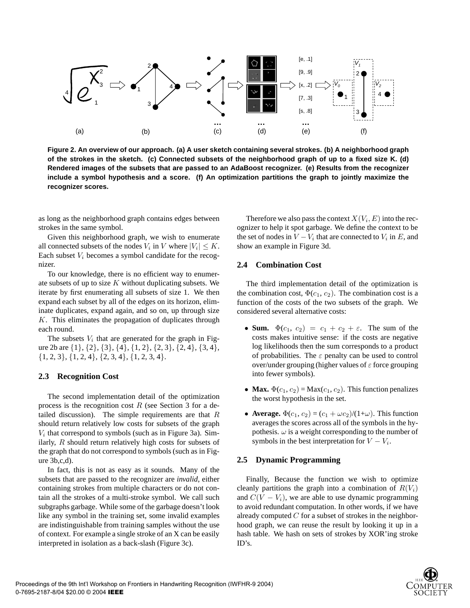

**Figure 2. An overview of our approach. (a) A user sketch containing several strokes. (b) A neighborhood graph of the strokes in the sketch. (c) Connected subsets of the neighborhood graph of up to a fixed size K. (d) Rendered images of the subsets that are passed to an AdaBoost recognizer. (e) Results from the recognizer include a symbol hypothesis and a score. (f) An optimization partitions the graph to jointly maximize the recognizer scores.**

as long as the neighborhood graph contains edges between strokes in the same symbol.

Given this neighborhood graph, we wish to enumerate all connected subsets of the nodes  $V_i$  in V where  $|V_i| \leq K$ . Each subset  $V_i$  becomes a symbol candidate for the recognizer.

To our knowledge, there is no efficient way to enumerate subsets of up to size  $K$  without duplicating subsets. We iterate by first enumerating all subsets of size 1. We then expand each subset by all of the edges on its horizon, eliminate duplicates, expand again, and so on, up through size K. This eliminates the propagation of duplicates through each round.

The subsets  $V_i$  that are generated for the graph in Figure 2b are {1}, {2}, {3}, {4}, {1, 2}, {2, 3}, {2, 4}, {3, 4},  $\{1, 2, 3\}, \{1, 2, 4\}, \{2, 3, 4\}, \{1, 2, 3, 4\}.$ 

### **2.3 Recognition Cost**

The second implementation detail of the optimization process is the recognition cost  $R$  (see Section 3 for a detailed discussion). The simple requirements are that  $R$ should return relatively low costs for subsets of the graph  $V_i$  that correspond to symbols (such as in Figure 3a). Similarly, R should return relatively high costs for subsets of the graph that do not correspond to symbols (such as in Figure 3b,c,d).

In fact, this is not as easy as it sounds. Many of the subsets that are passed to the recognizer are *invalid*, either containing strokes from multiple characters or do not contain all the strokes of a multi-stroke symbol. We call such subgraphs garbage. While some of the garbage doesn't look like any symbol in the training set, some invalid examples are indistinguishable from training samples without the use of context. For example a single stroke of an X can be easily interpreted in isolation as a back-slash (Figure 3c).

Therefore we also pass the context  $X(V_i, E)$  into the recognizer to help it spot garbage. We define the context to be the set of nodes in  $V - V_i$  that are connected to  $V_i$  in  $E$ , and show an example in Figure 3d.

### **2.4 Combination Cost**

The third implementation detail of the optimization is the combination cost,  $\Phi(c_1, c_2)$ . The combination cost is a function of the costs of the two subsets of the graph. We considered several alternative costs:

- **Sum.**  $\Phi(c_1, c_2) = c_1 + c_2 + \varepsilon$ . The sum of the costs makes intuitive sense: if the costs are negative log likelihoods then the sum corresponds to a product of probabilities. The  $\varepsilon$  penalty can be used to control over/under grouping (higher values of  $\varepsilon$  force grouping into fewer symbols).
- **Max.**  $\Phi(c_1, c_2) = \text{Max}(c_1, c_2)$ . This function penalizes the worst hypothesis in the set.
- **Average.**  $\Phi(c_1, c_2) = (c_1 + \omega c_2)/(1+\omega)$ . This function averages the scores across all of the symbols in the hypothesis.  $\omega$  is a weight corresponding to the number of symbols in the best interpretation for  $V - V_i$ .

#### **2.5 Dynamic Programming**

Finally, Because the function we wish to optimize cleanly partitions the graph into a combination of  $R(V_i)$ and  $C(V - V_i)$ , we are able to use dynamic programming to avoid redundant computation. In other words, if we have already computed  $C$  for a subset of strokes in the neighborhood graph, we can reuse the result by looking it up in a hash table. We hash on sets of strokes by XOR'ing stroke ID's.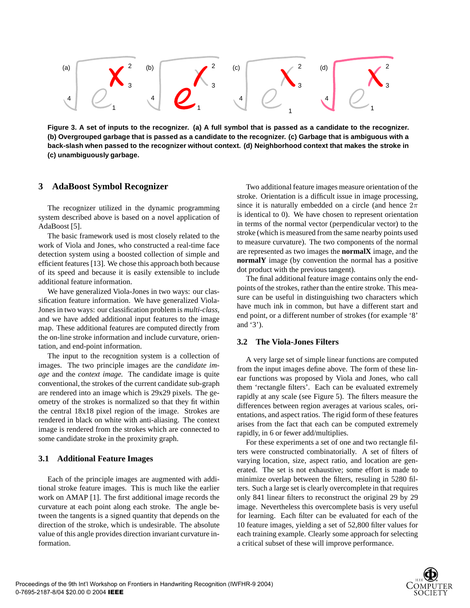

**Figure 3. A set of inputs to the recognizer. (a) A full symbol that is passed as a candidate to the recognizer. (b) Overgrouped garbage that is passed as a candidate to the recognizer. (c) Garbage that is ambiguous with a back-slash when passed to the recognizer without context. (d) Neighborhood context that makes the stroke in (c) unambiguously garbage.**

### **3 AdaBoost Symbol Recognizer**

The recognizer utilized in the dynamic programming system described above is based on a novel application of AdaBoost [5].

The basic framework used is most closely related to the work of Viola and Jones, who constructed a real-time face detection system using a boosted collection of simple and efficient features [13]. We chose this approach both because of its speed and because it is easily extensible to include additional feature information.

We have generalized Viola-Jones in two ways: our classification feature information. We have generalized Viola-Jones in two ways: our classification problem is *multi-class,* and we have added additional input features to the image map. These additional features are computed directly from the on-line stroke information and include curvature, orientation, and end-point information.

The input to the recognition system is a collection of images. The two principle images are the *candidate image* and the *context image.* The candidate image is quite conventional, the strokes of the current candidate sub-graph are rendered into an image which is 29x29 pixels. The geometry of the strokes is normalized so that they fit within the central 18x18 pixel region of the image. Strokes are rendered in black on white with anti-aliasing. The context image is rendered from the strokes which are connected to some candidate stroke in the proximity graph.

### **3.1 Additional Feature Images**

Each of the principle images are augmented with additional stroke feature images. This is much like the earlier work on AMAP [1]. The first additional image records the curvature at each point along each stroke. The angle between the tangents is a signed quantity that depends on the direction of the stroke, which is undesirable. The absolute value of this angle provides direction invariant curvature information.

Two additional feature images measure orientation of the stroke. Orientation is a difficult issue in image processing, since it is naturally embedded on a circle (and hence  $2\pi$ is identical to 0). We have chosen to represent orientation in terms of the normal vector (perpendicular vector) to the stroke (which is measured from the same nearby points used to measure curvature). The two components of the normal are represented as two images the **normalX** image, and the **normalY** image (by convention the normal has a positive dot product with the previous tangent).

The final additional feature image contains only the endpoints of the strokes, rather than the entire stroke. This measure can be useful in distinguishing two characters which have much ink in common, but have a different start and end point, or a different number of strokes (for example '8' and '3').

### **3.2 The Viola-Jones Filters**

A very large set of simple linear functions are computed from the input images define above. The form of these linear functions was proposed by Viola and Jones, who call them 'rectangle filters'. Each can be evaluated extremely rapidly at any scale (see Figure 5). The filters measure the differences between region averages at various scales, orientations, and aspect ratios. The rigid form of these features arises from the fact that each can be computed extremely rapidly, in 6 or fewer add/multiplies.

For these experiments a set of one and two rectangle filters were constructed combinatorially. A set of filters of varying location, size, aspect ratio, and location are generated. The set is not exhaustive; some effort is made to minimize overlap between the filters, resuling in 5280 filters. Such a large set is clearly overcomplete in that requires only 841 linear filters to reconstruct the original 29 by 29 image. Nevertheless this overcomplete basis is very useful for learning. Each filter can be evaluated for each of the 10 feature images, yielding a set of 52,800 filter values for each training example. Clearly some approach for selecting a critical subset of these will improve performance.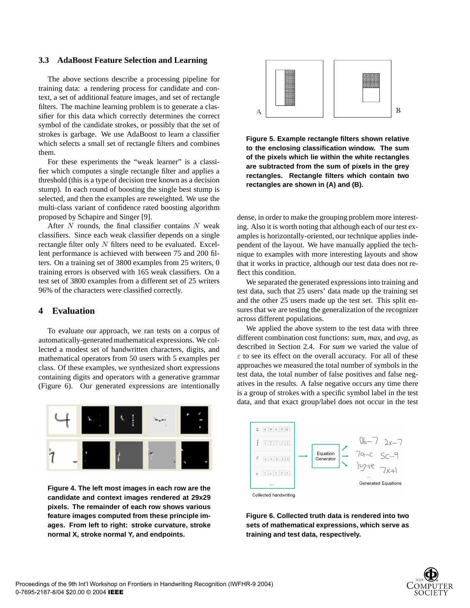### **3.3 AdaBoost Feature Selection and Learning**

The above sections describe a processing pipeline for training data: a rendering process for candidate and context, a set of additional feature images, and set of rectangle filters. The machine learning problem is to generate a classifier for this data which correctly determines the correct symbol of the candidate strokes, or possibly that the set of strokes is garbage. We use AdaBoost to learn a classifier which selects a small set of rectangle filters and combines them.

For these experiments the "weak learner" is a classifier which computes a single rectangle filter and applies a threshold (this is a type of decision tree known as a decision stump). In each round of boosting the single best stump is selected, and then the examples are reweighted. We use the multi-class variant of confidence rated boosting algorithm proposed by Schapire and Singer [9].

After  $N$  rounds, the final classifier contains  $N$  weak classifiers. Since each weak classifier depends on a single rectangle filter only N filters need to be evaluated. Excellent performance is achieved with between 75 and 200 filters. On a training set of 3800 examples from 25 writers, 0 training errors is observed with 165 weak classifiers. On a test set of 3800 examples from a different set of 25 writers 96% of the characters were classified correctly.

### **4 Evaluation**

To evaluate our approach, we ran tests on a corpus of automatically-generated mathematical expressions. We collected a modest set of handwritten characters, digits, and mathematical operators from 50 users with 5 examples per class. Of these examples, we synthesized short expressions containing digits and operators with a generative grammar (Figure 6). Our generated expressions are intentionally



**Figure 4. The left most images in each row are the candidate and context images rendered at 29x29 pixels. The remainder of each row shows various feature images computed from these principle images. From left to right: stroke curvature, stroke normal X, stroke normal Y, and endpoints.**



**Figure 5. Example rectangle filters shown relative to the enclosing classification window. The sum of the pixels which lie within the white rectangles are subtracted from the sum of pixels in the grey rectangles. Rectangle filters which contain two rectangles are shown in (A) and (B).**

dense, in order to make the grouping problem more interesting. Also it is worth noting that although each of our test examples is horizontally-oriented, our technique applies independent of the layout. We have manually applied the technique to examples with more interesting layouts and show that it works in practice, although our test data does not reflect this condition.

We separated the generated expressions into training and test data, such that 25 users' data made up the training set and the other 25 users made up the test set. This split ensures that we are testing the generalization of the recognizer across different populations.

We applied the above system to the test data with three different combination cost functions: *sum*, *max*, and *avg*, as described in Section 2.4. For *sum* we varied the value of  $\varepsilon$  to see its effect on the overall accuracy. For all of these approaches we measured the total number of symbols in the test data, the total number of false positives and false negatives in the results. A false negative occurs any time there is a group of strokes with a specific symbol label in the test data, and that exact group/label does not occur in the test



**Figure 6. Collected truth data is rendered into two sets of mathematical expressions, which serve as training and test data, respectively.**